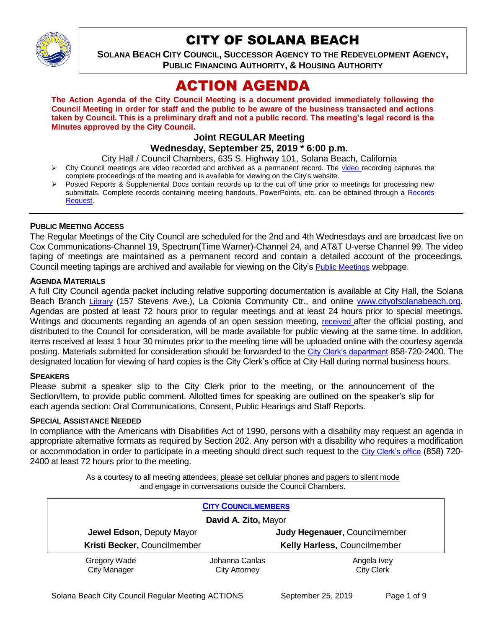

## CITY OF SOLANA BEACH

**SOLANA BEACH CITY COUNCIL, SUCCESSOR AGENCY TO THE REDEVELOPMENT AGENCY, PUBLIC FINANCING AUTHORITY, & HOUSING AUTHORITY** 

# ACTION AGENDA

**The Action Agenda of the City Council Meeting is a document provided immediately following the Council Meeting in order for staff and the public to be aware of the business transacted and actions taken by Council. This is a preliminary draft and not a public record. The meeting's legal record is the Minutes approved by the City Council.**

## **Joint REGULAR Meeting**

**Wednesday, September 25, 2019 \* 6:00 p.m.** 

City Hall / Council Chambers, 635 S. Highway 101, Solana Beach, California

- $\triangleright$  City Council meetings are [video r](https://solanabeach.12milesout.com/#page=1)ecorded and archived as a permanent record. The video recording captures the complete proceedings of the meeting and is available for viewing on the City's website.
- Posted Reports & Supplemental Docs contain records up to the cut off time prior to meetings for processing new submittals. Complete records containing meeting handouts, PowerPoints, etc. can be obtained through a Records [Request.](http://www.ci.solana-beach.ca.us/index.asp?SEC=F5D45D10-70CE-4291-A27C-7BD633FC6742&Type=B_BASIC)

#### **PUBLIC MEETING ACCESS**

The Regular Meetings of the City Council are scheduled for the 2nd and 4th Wednesdays and are broadcast live on Cox Communications-Channel 19, Spectrum(Time Warner)-Channel 24, and AT&T U-verse Channel 99. The video taping of meetings are maintained as a permanent record and contain a detailed account of the proceedings. Council meeting tapings are archived and available for viewing on the City's [Public Meetings](https://www.ci.solana-beach.ca.us/index.asp?SEC=F0F1200D-21C6-4A88-8AE1-0BC07C1A81A7&Type=B_BASIC) webpage.

#### **AGENDA MATERIALS**

A full City Council agenda packet including relative supporting documentation is available at City Hall, the Solana Beach Branch [Library](http://www.sdcl.org/locations_SB.html) (157 Stevens Ave.), La Colonia Community Ctr., and online [www.cityofsolanabeach.org.](http://www.cityofsolanabeach.org/) Agendas are posted at least 72 hours prior to regular meetings and at least 24 hours prior to special meetings. Writings and documents regarding an agenda of an open session meeting, [received](mailto:EMAILGRP-CityClerksOfc@cosb.org) after the official posting, and distributed to the Council for consideration, will be made available for public viewing at the same time. In addition, items received at least 1 hour 30 minutes prior to the meeting time will be uploaded online with the courtesy agenda posting. Materials submitted for consideration should be forwarded to the [City Clerk's department](mailto:EMAILGRP-CityClerksOfc@cosb.org) 858-720-2400. The designated location for viewing of hard copies is the City Clerk's office at City Hall during normal business hours.

#### **SPEAKERS**

Please submit a speaker slip to the City Clerk prior to the meeting, or the announcement of the Section/Item, to provide public comment. Allotted times for speaking are outlined on the speaker's slip for each agenda section: Oral Communications, Consent, Public Hearings and Staff Reports.

#### **SPECIAL ASSISTANCE NEEDED**

In compliance with the Americans with Disabilities Act of 1990, persons with a disability may request an agenda in appropriate alternative formats as required by Section 202. Any person with a disability who requires a modification or accommodation in order to participate in a meeting should direct such request to the [City Clerk's office](mailto:clerkadmin@cosb.org?subject=City%20Clerk%20Notice%20of%20Special%20Services%20Needed) (858) 720- 2400 at least 72 hours prior to the meeting.

> As a courtesy to all meeting attendees, please set cellular phones and pagers to silent mode and engage in conversations outside the Council Chambers.

| <b>CITY COUNCILMEMBERS</b>          |                                        |                                     |
|-------------------------------------|----------------------------------------|-------------------------------------|
| David A. Zito, Mayor                |                                        |                                     |
| <b>Jewel Edson, Deputy Mayor</b>    |                                        | Judy Hegenauer, Councilmember       |
| Kristi Becker, Councilmember        |                                        | <b>Kelly Harless, Councilmember</b> |
| Gregory Wade<br><b>City Manager</b> | Johanna Canlas<br><b>City Attorney</b> | Angela Ivey<br><b>City Clerk</b>    |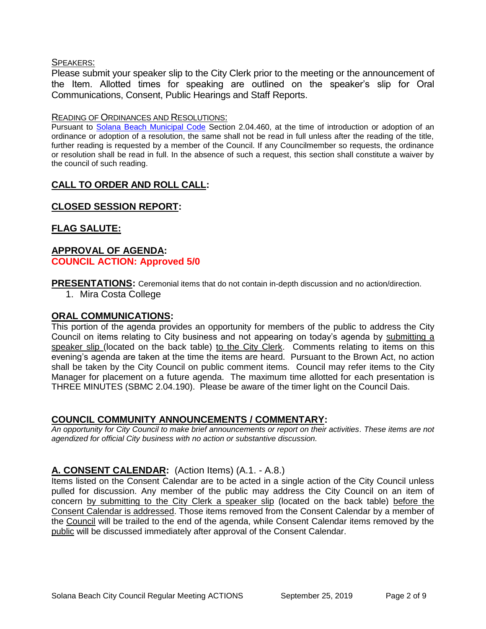#### SPEAKERS:

Please submit your speaker slip to the City Clerk prior to the meeting or the announcement of the Item. Allotted times for speaking are outlined on the speaker's slip for Oral Communications, Consent, Public Hearings and Staff Reports.

#### READING OF ORDINANCES AND RESOLUTIONS:

Pursuant to [Solana Beach Municipal Code](mailto:https://www.codepublishing.com/CA/SolanaBeach/) Section 2.04.460, at the time of introduction or adoption of an ordinance or adoption of a resolution, the same shall not be read in full unless after the reading of the title, further reading is requested by a member of the Council. If any Councilmember so requests, the ordinance or resolution shall be read in full. In the absence of such a request, this section shall constitute a waiver by the council of such reading.

## **CALL TO ORDER AND ROLL CALL:**

## **CLOSED SESSION REPORT:**

## **FLAG SALUTE:**

### **APPROVAL OF AGENDA: COUNCIL ACTION: Approved 5/0**

**PRESENTATIONS:** Ceremonial items that do not contain in-depth discussion and no action/direction.

1. Mira Costa College

#### **ORAL COMMUNICATIONS:**

This portion of the agenda provides an opportunity for members of the public to address the City Council on items relating to City business and not appearing on today's agenda by submitting a speaker slip (located on the back table) to the City Clerk. Comments relating to items on this evening's agenda are taken at the time the items are heard. Pursuant to the Brown Act, no action shall be taken by the City Council on public comment items. Council may refer items to the City Manager for placement on a future agenda. The maximum time allotted for each presentation is THREE MINUTES (SBMC 2.04.190). Please be aware of the timer light on the Council Dais.

## **COUNCIL COMMUNITY ANNOUNCEMENTS / COMMENTARY:**

*An opportunity for City Council to make brief announcements or report on their activities. These items are not agendized for official City business with no action or substantive discussion.* 

## **A. CONSENT CALENDAR:** (Action Items) (A.1. - A.8.)

Items listed on the Consent Calendar are to be acted in a single action of the City Council unless pulled for discussion. Any member of the public may address the City Council on an item of concern by submitting to the City Clerk a speaker slip (located on the back table) before the Consent Calendar is addressed. Those items removed from the Consent Calendar by a member of the Council will be trailed to the end of the agenda, while Consent Calendar items removed by the public will be discussed immediately after approval of the Consent Calendar.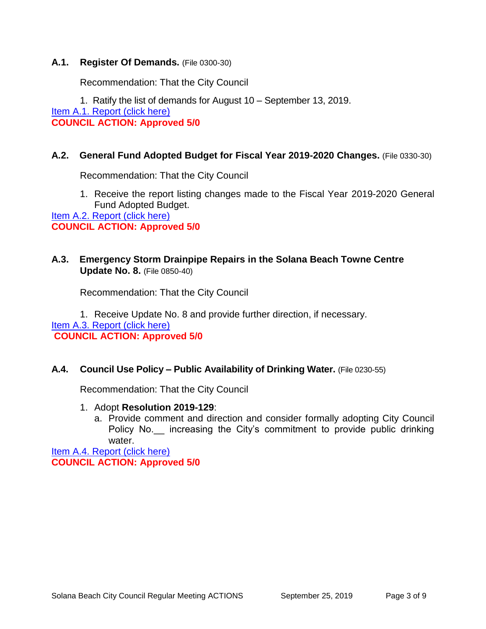### **A.1. Register Of Demands.** (File 0300-30)

Recommendation: That the City Council

1. Ratify the list of demands for August 10 – September 13, 2019.

[Item A.1. Report \(click here\)](https://solanabeach.govoffice3.com/vertical/Sites/%7B840804C2-F869-4904-9AE3-720581350CE7%7D/uploads/Item_A.1._Report_(click_here)_09-25-19_-_O.pdf)

**COUNCIL ACTION: Approved 5/0**

## **A.2. General Fund Adopted Budget for Fiscal Year 2019-2020 Changes.** (File 0330-30)

Recommendation: That the City Council

1. Receive the report listing changes made to the Fiscal Year 2019-2020 General Fund Adopted Budget.

[Item A.2. Report \(click here\)](https://solanabeach.govoffice3.com/vertical/Sites/%7B840804C2-F869-4904-9AE3-720581350CE7%7D/uploads/Item_A.2._Report_(click_here)_09-25-19_-_O.pdf) **COUNCIL ACTION: Approved 5/0**

## **A.3. Emergency Storm Drainpipe Repairs in the Solana Beach Towne Centre Update No. 8.** (File 0850-40)

Recommendation: That the City Council

1. Receive Update No. 8 and provide further direction, if necessary.

[Item A.3. Report \(click here\)](hthttps://solanabeach.govoffice3.com/vertical/Sites/%7B840804C2-F869-4904-9AE3-720581350CE7%7D/uploads/Item_A.3._Report_(click_here)_09-25-19_-_O.pdf) 

**COUNCIL ACTION: Approved 5/0**

#### **A.4. Council Use Policy – Public Availability of Drinking Water.** (File 0230-55)

Recommendation: That the City Council

- 1. Adopt **Resolution 2019-129**:
	- a. Provide comment and direction and consider formally adopting City Council Policy No. increasing the City's commitment to provide public drinking water.

[Item A.4. Report \(click here\)](https://solanabeach.govoffice3.com/vertical/Sites/%7B840804C2-F869-4904-9AE3-720581350CE7%7D/uploads/Item_A.4._Report_(click_here)_09-25-19_-_O.pdf) **COUNCIL ACTION: Approved 5/0**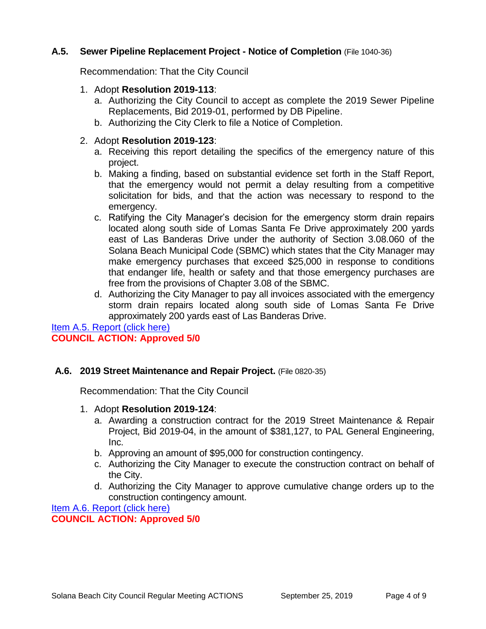## **A.5. Sewer Pipeline Replacement Project - Notice of Completion** (File 1040-36)

Recommendation: That the City Council

## 1. Adopt **Resolution 2019-113**:

- a. Authorizing the City Council to accept as complete the 2019 Sewer Pipeline Replacements, Bid 2019-01, performed by DB Pipeline.
- b. Authorizing the City Clerk to file a Notice of Completion.

## 2. Adopt **Resolution 2019-123**:

- a. Receiving this report detailing the specifics of the emergency nature of this project.
- b. Making a finding, based on substantial evidence set forth in the Staff Report, that the emergency would not permit a delay resulting from a competitive solicitation for bids, and that the action was necessary to respond to the emergency.
- c. Ratifying the City Manager's decision for the emergency storm drain repairs located along south side of Lomas Santa Fe Drive approximately 200 yards east of Las Banderas Drive under the authority of Section 3.08.060 of the Solana Beach Municipal Code (SBMC) which states that the City Manager may make emergency purchases that exceed \$25,000 in response to conditions that endanger life, health or safety and that those emergency purchases are free from the provisions of Chapter 3.08 of the SBMC.
- d. Authorizing the City Manager to pay all invoices associated with the emergency storm drain repairs located along south side of Lomas Santa Fe Drive approximately 200 yards east of Las Banderas Drive.

[Item A.5. Report \(click here\)](https://solanabeach.govoffice3.com/vertical/Sites/%7B840804C2-F869-4904-9AE3-720581350CE7%7D/uploads/Item_A.5._Report_(click_here)_09-25-19_-_O.pdf) **COUNCIL ACTION: Approved 5/0**

## **A.6. 2019 Street Maintenance and Repair Project.** (File 0820-35)

Recommendation: That the City Council

- 1. Adopt **Resolution 2019-124**:
	- a. Awarding a construction contract for the 2019 Street Maintenance & Repair Project, Bid 2019-04, in the amount of \$381,127, to PAL General Engineering, Inc.
	- b. Approving an amount of \$95,000 for construction contingency.
	- c. Authorizing the City Manager to execute the construction contract on behalf of the City.
	- d. Authorizing the City Manager to approve cumulative change orders up to the construction contingency amount.

[Item A.6. Report \(click here\)](https://solanabeach.govoffice3.com/vertical/Sites/%7B840804C2-F869-4904-9AE3-720581350CE7%7D/uploads/Item_A.6._Report_(click_here)_09-25-19_-_O.pdf)

**COUNCIL ACTION: Approved 5/0**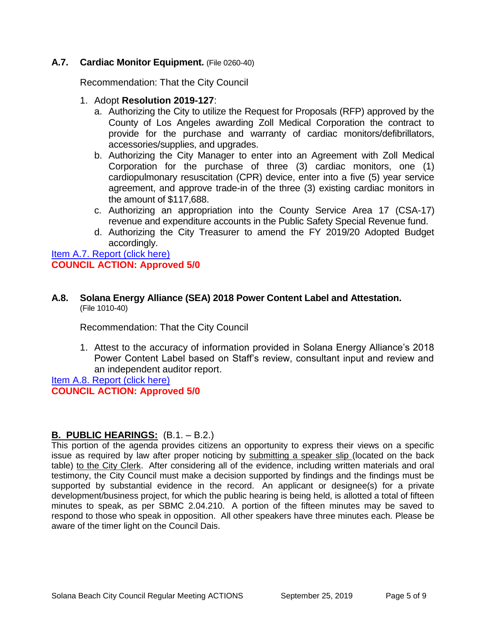## **A.7. Cardiac Monitor Equipment.** (File 0260-40)

Recommendation: That the City Council

- 1. Adopt **Resolution 2019-127**:
	- a. Authorizing the City to utilize the Request for Proposals (RFP) approved by the County of Los Angeles awarding Zoll Medical Corporation the contract to provide for the purchase and warranty of cardiac monitors/defibrillators, accessories/supplies, and upgrades.
	- b. Authorizing the City Manager to enter into an Agreement with Zoll Medical Corporation for the purchase of three (3) cardiac monitors, one (1) cardiopulmonary resuscitation (CPR) device, enter into a five (5) year service agreement, and approve trade-in of the three (3) existing cardiac monitors in the amount of \$117,688.
	- c. Authorizing an appropriation into the County Service Area 17 (CSA-17) revenue and expenditure accounts in the Public Safety Special Revenue fund.
	- d. Authorizing the City Treasurer to amend the FY 2019/20 Adopted Budget accordingly.

[Item A.7. Report \(click here\)](https://solanabeach.govoffice3.com/vertical/Sites/%7B840804C2-F869-4904-9AE3-720581350CE7%7D/uploads/Item_A.7._Report_(click_here)_09-25-19_-_O.pdf) **COUNCIL ACTION: Approved 5/0**

#### **A.8. Solana Energy Alliance (SEA) 2018 Power Content Label and Attestation.** (File 1010-40)

Recommendation: That the City Council

1. Attest to the accuracy of information provided in Solana Energy Alliance's 2018 Power Content Label based on Staff's review, consultant input and review and an independent auditor report.

[Item A.8. Report \(click here\)](https://solanabeach.govoffice3.com/vertical/Sites/%7B840804C2-F869-4904-9AE3-720581350CE7%7D/uploads/Item_A.8._Report_(click_here)_09-25-19_-_O.pdf) **COUNCIL ACTION: Approved 5/0**

## **B. PUBLIC HEARINGS:** (B.1. – B.2.)

This portion of the agenda provides citizens an opportunity to express their views on a specific issue as required by law after proper noticing by submitting a speaker slip (located on the back table) to the City Clerk. After considering all of the evidence, including written materials and oral testimony, the City Council must make a decision supported by findings and the findings must be supported by substantial evidence in the record. An applicant or designee(s) for a private development/business project, for which the public hearing is being held, is allotted a total of fifteen minutes to speak, as per SBMC 2.04.210. A portion of the fifteen minutes may be saved to respond to those who speak in opposition. All other speakers have three minutes each. Please be aware of the timer light on the Council Dais.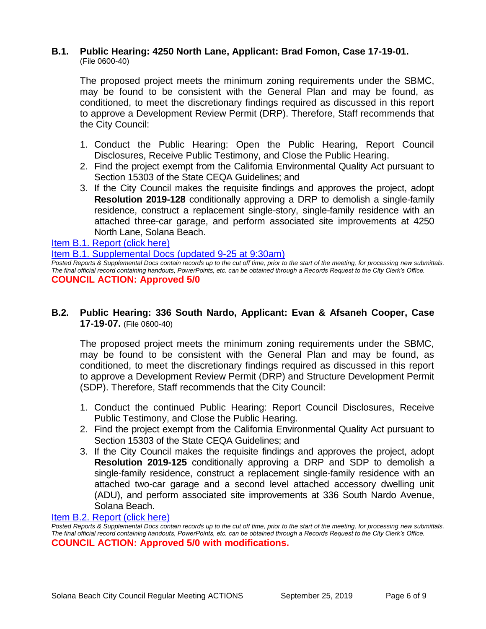#### **B.1. Public Hearing: 4250 North Lane, Applicant: Brad Fomon, Case 17-19-01.** (File 0600-40)

The proposed project meets the minimum zoning requirements under the SBMC, may be found to be consistent with the General Plan and may be found, as conditioned, to meet the discretionary findings required as discussed in this report to approve a Development Review Permit (DRP). Therefore, Staff recommends that the City Council:

- 1. Conduct the Public Hearing: Open the Public Hearing, Report Council Disclosures, Receive Public Testimony, and Close the Public Hearing.
- 2. Find the project exempt from the California Environmental Quality Act pursuant to Section 15303 of the State CEQA Guidelines; and
- 3. If the City Council makes the requisite findings and approves the project, adopt **Resolution 2019-128** conditionally approving a DRP to demolish a single-family residence, construct a replacement single-story, single-family residence with an attached three-car garage, and perform associated site improvements at 4250 North Lane, Solana Beach.

[Item B.1. Report \(click here\)](https://solanabeach.govoffice3.com/vertical/Sites/%7B840804C2-F869-4904-9AE3-720581350CE7%7D/uploads/Item_B.1._Report_(click_here)_09-25-19_-_O.pdf)

[Item B.1. Supplemental Docs \(updated 9-25 at 9:30am\)](https://solanabeach.govoffice3.com/vertical/Sites/%7B840804C2-F869-4904-9AE3-720581350CE7%7D/uploads/Item_B.1._Supplemental_Docs_-_9-25_(930am)_-_O.pdf)

*Posted Reports & Supplemental Docs contain records up to the cut off time, prior to the start of the meeting, for processing new submittals. The final official record containing handouts, PowerPoints, etc. can be obtained through a Records Request to the City Clerk's Office.* **COUNCIL ACTION: Approved 5/0**

## **B.2. Public Hearing: 336 South Nardo, Applicant: Evan & Afsaneh Cooper, Case 17-19-07.** (File 0600-40)

The proposed project meets the minimum zoning requirements under the SBMC, may be found to be consistent with the General Plan and may be found, as conditioned, to meet the discretionary findings required as discussed in this report to approve a Development Review Permit (DRP) and Structure Development Permit (SDP). Therefore, Staff recommends that the City Council:

- 1. Conduct the continued Public Hearing: Report Council Disclosures, Receive Public Testimony, and Close the Public Hearing.
- 2. Find the project exempt from the California Environmental Quality Act pursuant to Section 15303 of the State CEQA Guidelines; and
- 3. If the City Council makes the requisite findings and approves the project, adopt **Resolution 2019-125** conditionally approving a DRP and SDP to demolish a single-family residence, construct a replacement single-family residence with an attached two-car garage and a second level attached accessory dwelling unit (ADU), and perform associated site improvements at 336 South Nardo Avenue, Solana Beach.

#### [Item B.2. Report \(click here\)](https://solanabeach.govoffice3.com/vertical/Sites/%7B840804C2-F869-4904-9AE3-720581350CE7%7D/uploads/Item_B.2._Report_(click_here)_09-25-19_-_O.pdf)

*Posted Reports & Supplemental Docs contain records up to the cut off time, prior to the start of the meeting, for processing new submittals. The final official record containing handouts, PowerPoints, etc. can be obtained through a Records Request to the City Clerk's Office.* **COUNCIL ACTION: Approved 5/0 with modifications.**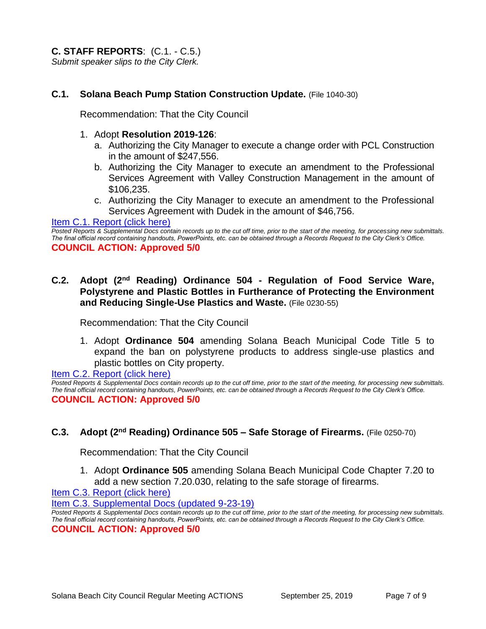**C. STAFF REPORTS**: (C.1. - C.5.) *Submit speaker slips to the City Clerk.*

#### **C.1. Solana Beach Pump Station Construction Update.** (File 1040-30)

Recommendation: That the City Council

#### 1. Adopt **Resolution 2019-126**:

- a. Authorizing the City Manager to execute a change order with PCL Construction in the amount of \$247,556.
- b. Authorizing the City Manager to execute an amendment to the Professional Services Agreement with Valley Construction Management in the amount of \$106,235.
- c. Authorizing the City Manager to execute an amendment to the Professional Services Agreement with Dudek in the amount of \$46,756.

[Item C.1. Report \(click here\)](https://solanabeach.govoffice3.com/vertical/Sites/%7B840804C2-F869-4904-9AE3-720581350CE7%7D/uploads/Item_C.1._Report_(click_here)_09-25-19_-_O.pdf)

*Posted Reports & Supplemental Docs contain records up to the cut off time, prior to the start of the meeting, for processing new submittals. The final official record containing handouts, PowerPoints, etc. can be obtained through a Records Request to the City Clerk's Office.* **COUNCIL ACTION: Approved 5/0**

#### **C.2.** Adopt (2<sup>nd</sup> Reading) Ordinance 504 - Regulation of Food Service Ware, **Polystyrene and Plastic Bottles in Furtherance of Protecting the Environment and Reducing Single-Use Plastics and Waste.** (File 0230-55)

Recommendation: That the City Council

1. Adopt **Ordinance 504** amending Solana Beach Municipal Code Title 5 to expand the ban on polystyrene products to address single-use plastics and plastic bottles on City property.

[Item C.2. Report \(click here\)](https://solanabeach.govoffice3.com/vertical/Sites/%7B840804C2-F869-4904-9AE3-720581350CE7%7D/uploads/Item_C.2._Report_(click_here)_09-25-19_-_O.pdf)

*Posted Reports & Supplemental Docs contain records up to the cut off time, prior to the start of the meeting, for processing new submittals. The final official record containing handouts, PowerPoints, etc. can be obtained through a Records Request to the City Clerk's Office.* **COUNCIL ACTION: Approved 5/0**

#### **C.3.** Adopt (2<sup>nd</sup> Reading) Ordinance 505 – Safe Storage of Firearms. (File 0250-70)

Recommendation: That the City Council

1. Adopt **Ordinance 505** amending Solana Beach Municipal Code Chapter 7.20 to add a new section 7.20.030, relating to the safe storage of firearms.

[Item C.3. Report \(click here\)](https://solanabeach.govoffice3.com/vertical/Sites/%7B840804C2-F869-4904-9AE3-720581350CE7%7D/uploads/Item_C.3._Report_(click_here)_09-25-19_-_O.pdf)

[Item C.3. Supplemental Docs \(updated 9-23-19\)](https://solanabeach.govoffice3.com/vertical/Sites/%7B840804C2-F869-4904-9AE3-720581350CE7%7D/uploads/Item_C.3_Supplemental_Docs_(9-23)_-_O.pdf)

*Posted Reports & Supplemental Docs contain records up to the cut off time, prior to the start of the meeting, for processing new submittals. The final official record containing handouts, PowerPoints, etc. can be obtained through a Records Request to the City Clerk's Office.* **COUNCIL ACTION: Approved 5/0**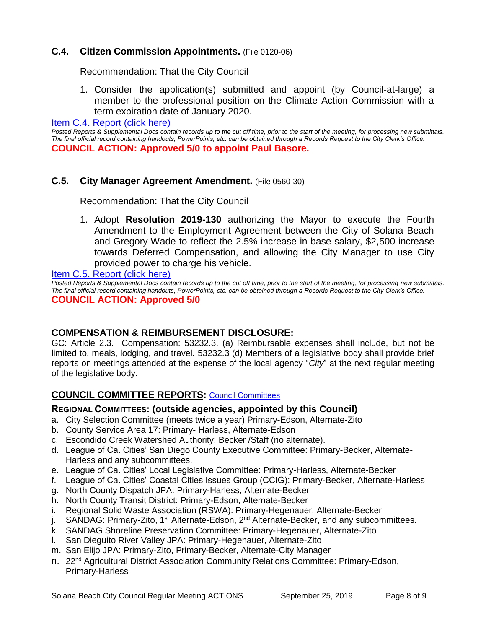## **C.4. Citizen Commission Appointments.** (File 0120-06)

Recommendation: That the City Council

1. Consider the application(s) submitted and appoint (by Council-at-large) a member to the professional position on the Climate Action Commission with a term expiration date of January 2020.

[Item C.4. Report \(click here\)](https://solanabeach.govoffice3.com/vertical/Sites/%7B840804C2-F869-4904-9AE3-720581350CE7%7D/uploads/Item_C.4._Report_(click_here)_09-25-19_-_O.pdf)

*Posted Reports & Supplemental Docs contain records up to the cut off time, prior to the start of the meeting, for processing new submittals. The final official record containing handouts, PowerPoints, etc. can be obtained through a Records Request to the City Clerk's Office.* **COUNCIL ACTION: Approved 5/0 to appoint Paul Basore.** 

## **C.5. City Manager Agreement Amendment.** (File 0560-30)

Recommendation: That the City Council

1. Adopt **Resolution 2019-130** authorizing the Mayor to execute the Fourth Amendment to the Employment Agreement between the City of Solana Beach and Gregory Wade to reflect the 2.5% increase in base salary, \$2,500 increase towards Deferred Compensation, and allowing the City Manager to use City provided power to charge his vehicle.

[Item C.5. Report \(click here\)](https://solanabeach.govoffice3.com/vertical/Sites/%7B840804C2-F869-4904-9AE3-720581350CE7%7D/uploads/Item_C.5._Report_(click_here)_09-25-19_-_O.pdf)

*Posted Reports & Supplemental Docs contain records up to the cut off time, prior to the start of the meeting, for processing new submittals. The final official record containing handouts, PowerPoints, etc. can be obtained through a Records Request to the City Clerk's Office.*

**COUNCIL ACTION: Approved 5/0**

## **COMPENSATION & REIMBURSEMENT DISCLOSURE:**

GC: Article 2.3. Compensation: 53232.3. (a) Reimbursable expenses shall include, but not be limited to, meals, lodging, and travel. 53232.3 (d) Members of a legislative body shall provide brief reports on meetings attended at the expense of the local agency "*City*" at the next regular meeting of the legislative body.

## **COUNCIL COMMITTEE REPORTS:** [Council Committees](https://www.ci.solana-beach.ca.us/index.asp?SEC=584E1192-3850-46EA-B977-088AC3E81E0D&Type=B_BASIC)

#### **REGIONAL COMMITTEES: (outside agencies, appointed by this Council)**

- a. City Selection Committee (meets twice a year) Primary-Edson, Alternate-Zito
- b. County Service Area 17: Primary- Harless, Alternate-Edson
- c. Escondido Creek Watershed Authority: Becker /Staff (no alternate).
- d. League of Ca. Cities' San Diego County Executive Committee: Primary-Becker, Alternate-Harless and any subcommittees.
- e. League of Ca. Cities' Local Legislative Committee: Primary-Harless, Alternate-Becker
- f. League of Ca. Cities' Coastal Cities Issues Group (CCIG): Primary-Becker, Alternate-Harless
- g. North County Dispatch JPA: Primary-Harless, Alternate-Becker
- h. North County Transit District: Primary-Edson, Alternate-Becker
- i. Regional Solid Waste Association (RSWA): Primary-Hegenauer, Alternate-Becker
- j. SANDAG: Primary-Zito, 1<sup>st</sup> Alternate-Edson, 2<sup>nd</sup> Alternate-Becker, and any subcommittees.
- k. SANDAG Shoreline Preservation Committee: Primary-Hegenauer, Alternate-Zito
- l. San Dieguito River Valley JPA: Primary-Hegenauer, Alternate-Zito
- m. San Elijo JPA: Primary-Zito, Primary-Becker, Alternate-City Manager
- n. 22<sup>nd</sup> Agricultural District Association Community Relations Committee: Primary-Edson, Primary-Harless